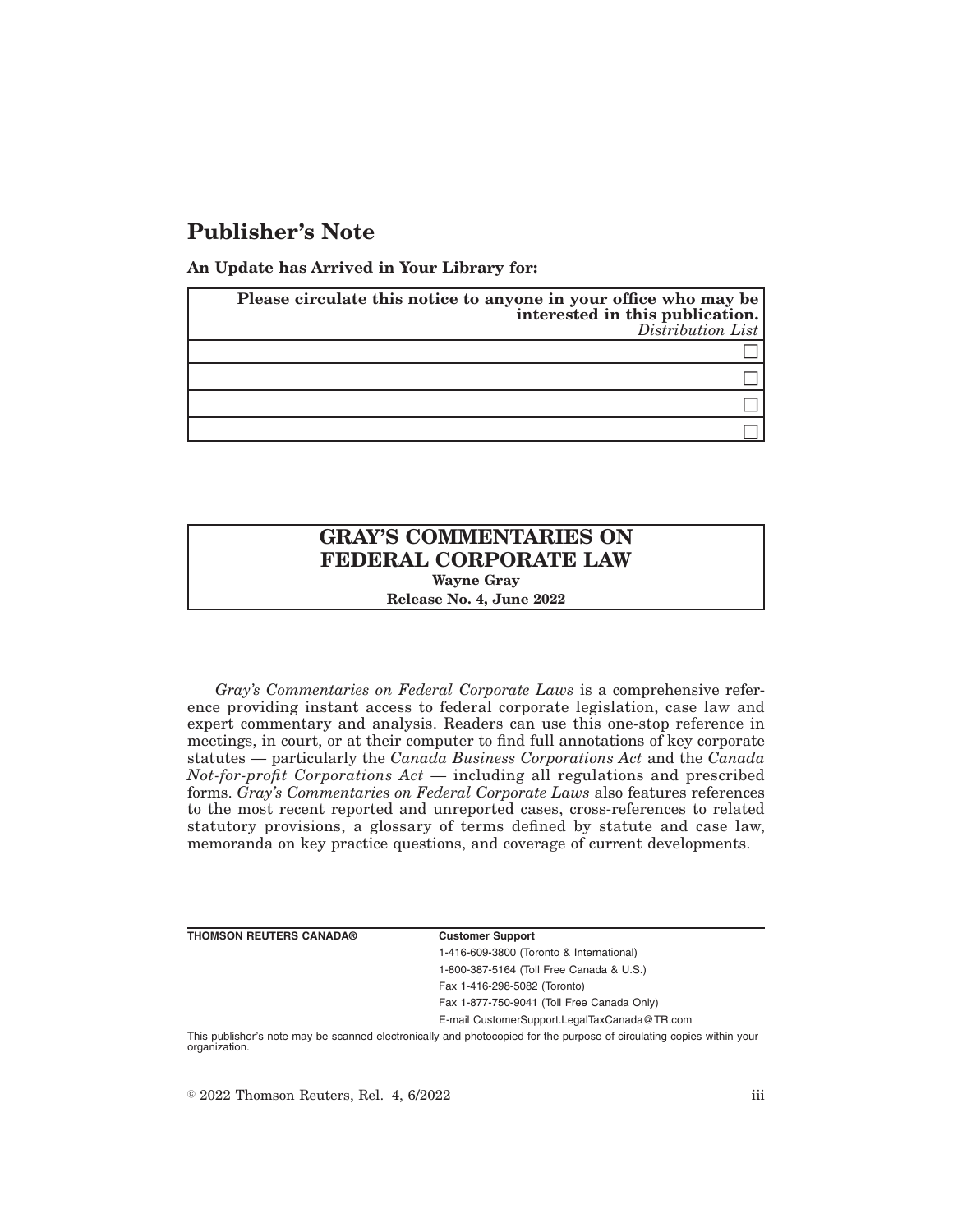## **Publisher's Note**

**An Update has Arrived in Your Library for:**

| Please circulate this notice to anyone in your office who may be<br>interested in this publication.<br>Distribution List |
|--------------------------------------------------------------------------------------------------------------------------|
|                                                                                                                          |
|                                                                                                                          |
|                                                                                                                          |
|                                                                                                                          |

## **GRAY'S COMMENTARIES ON FEDERAL CORPORATE LAW Wayne Gray**

**Release No. 4, June 2022**

*Gray's Commentaries on Federal Corporate Laws* is a comprehensive reference providing instant access to federal corporate legislation, case law and expert commentary and analysis. Readers can use this one-stop reference in meetings, in court, or at their computer to find full annotations of key corporate statutes — particularly the *Canada Business Corporations Act* and the *Canada Not-for-profit Corporations Act* — including all regulations and prescribed forms. *Gray's Commentaries on Federal Corporate Laws* also features references to the most recent reported and unreported cases, cross-references to related statutory provisions, a glossary of terms defined by statute and case law, memoranda on key practice questions, and coverage of current developments.

**THOMSON REUTERS CANADA® Customer Support**

1-416-609-3800 (Toronto & International) 1-800-387-5164 (Toll Free Canada & U.S.) Fax 1-416-298-5082 (Toronto) Fax 1-877-750-9041 (Toll Free Canada Only)

E-mail CustomerSupport.LegalTaxCanada@TR.com

This publisher's note may be scanned electronically and photocopied for the purpose of circulating copies within your organization.

 $\degree$  2022 Thomson Reuters, Rel. 4, 6/2022 iii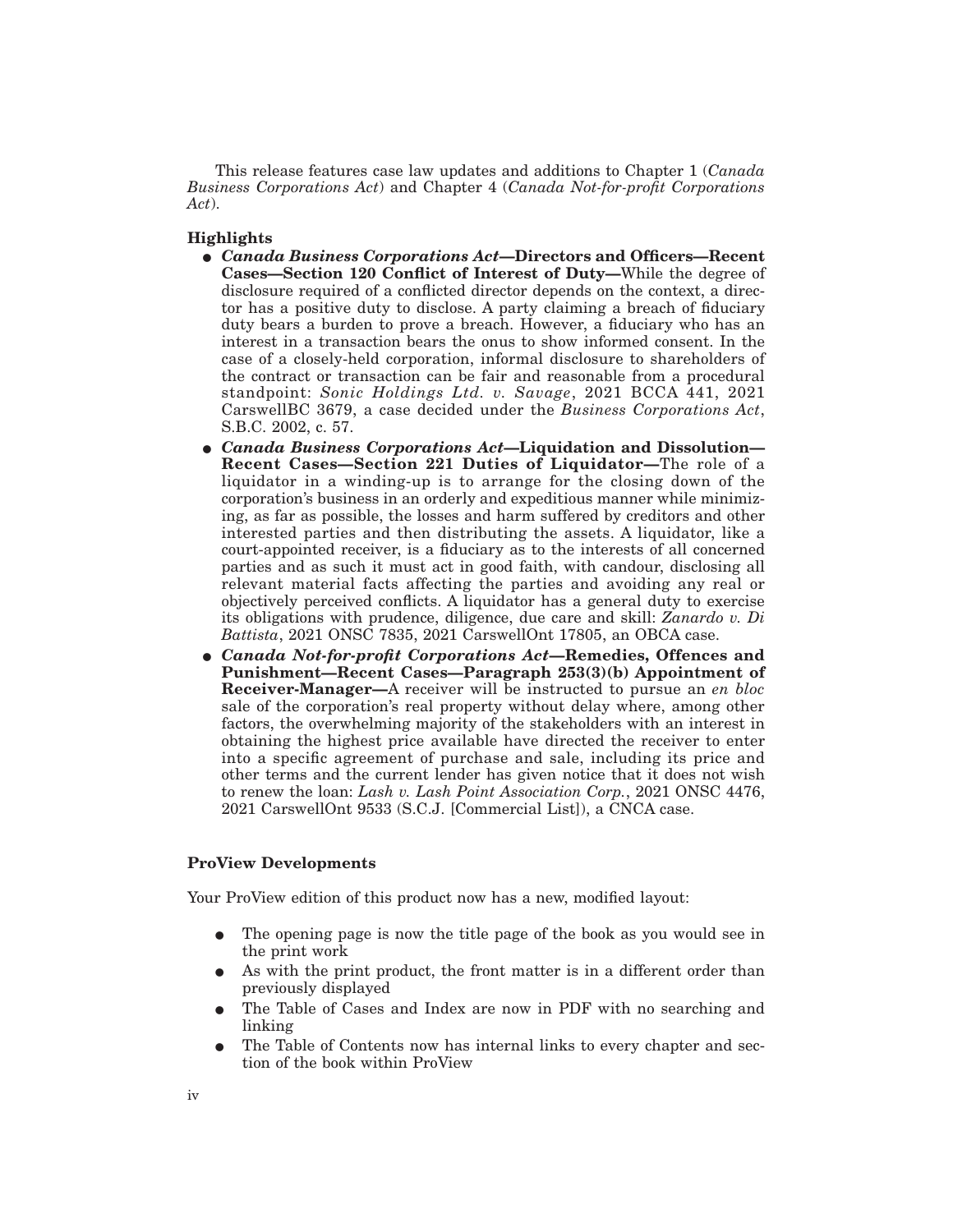This release features case law updates and additions to Chapter 1 (*Canada Business Corporations Act*) and Chapter 4 (*Canada Not-for-profit Corporations Act*).

## **Highlights**

- E *Canada Business Corporations Act***—Directors and Officers—Recent Cases—Section 120 Conflict of Interest of Duty—**While the degree of disclosure required of a conflicted director depends on the context, a director has a positive duty to disclose. A party claiming a breach of fiduciary duty bears a burden to prove a breach. However, a fiduciary who has an interest in a transaction bears the onus to show informed consent. In the case of a closely-held corporation, informal disclosure to shareholders of the contract or transaction can be fair and reasonable from a procedural standpoint: *Sonic Holdings Ltd. v. Savage*, 2021 BCCA 441, 2021 CarswellBC 3679, a case decided under the *Business Corporations Act*, S.B.C. 2002, c. 57.
- E *Canada Business Corporations Act***—Liquidation and Dissolution— Recent Cases—Section 221 Duties of Liquidator—**The role of a liquidator in a winding-up is to arrange for the closing down of the corporation's business in an orderly and expeditious manner while minimizing, as far as possible, the losses and harm suffered by creditors and other interested parties and then distributing the assets. A liquidator, like a court-appointed receiver, is a fiduciary as to the interests of all concerned parties and as such it must act in good faith, with candour, disclosing all relevant material facts affecting the parties and avoiding any real or objectively perceived conflicts. A liquidator has a general duty to exercise its obligations with prudence, diligence, due care and skill: *Zanardo v. Di Battista*, 2021 ONSC 7835, 2021 CarswellOnt 17805, an OBCA case.
- E *Canada Not-for-profit Corporations Act***—Remedies, Offences and Punishment—Recent Cases—Paragraph 253(3)(b) Appointment of Receiver-Manager—**A receiver will be instructed to pursue an *en bloc* sale of the corporation's real property without delay where, among other factors, the overwhelming majority of the stakeholders with an interest in obtaining the highest price available have directed the receiver to enter into a specific agreement of purchase and sale, including its price and other terms and the current lender has given notice that it does not wish to renew the loan: *Lash v. Lash Point Association Corp.*, 2021 ONSC 4476, 2021 CarswellOnt 9533 (S.C.J. [Commercial List]), a CNCA case.

## **ProView Developments**

Your ProView edition of this product now has a new, modified layout:

- E The opening page is now the title page of the book as you would see in the print work
- As with the print product, the front matter is in a different order than previously displayed
- The Table of Cases and Index are now in PDF with no searching and linking
- E The Table of Contents now has internal links to every chapter and section of the book within ProView